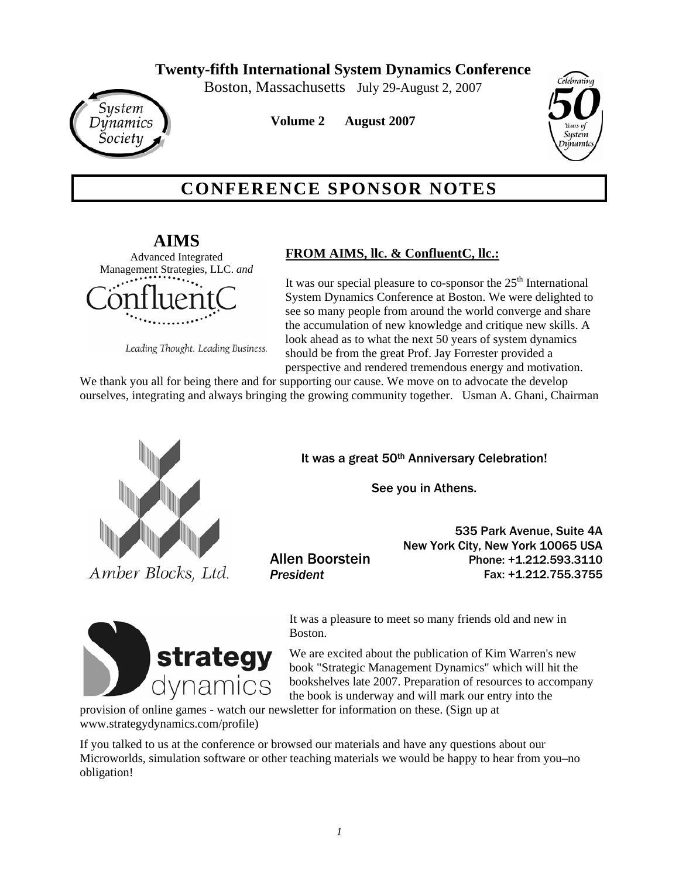Boston, Massachusetts July 29-August 2, 2007



**Volume 2 August 2007**



# **CONFERENCE SPONSOR NOTES**

**AIMS** Advanced Integrated Management Strategies, LLC. *and*

Leading Thought. Leading Business.

## **FROM AIMS, llc. & ConfluentC, llc.:**

It was our special pleasure to co-sponsor the  $25<sup>th</sup>$  International System Dynamics Conference at Boston. We were delighted to see so many people from around the world converge and share the accumulation of new knowledge and critique new skills. A look ahead as to what the next 50 years of system dynamics should be from the great Prof. Jay Forrester provided a perspective and rendered tremendous energy and motivation.

We thank you all for being there and for supporting our cause. We move on to advocate the develop ourselves, integrating and always bringing the growing community together. Usman A. Ghani, Chairman



Amber Blocks, Ltd.

It was a great 50th Anniversary Celebration!

See you in Athens.

Allen Boorstein *President*

535 Park Avenue, Suite 4A New York City, New York 10065 USA Phone: +1.212.593.3110 Fax: +1.212.755.3755



It was a pleasure to meet so many friends old and new in Boston.

We are excited about the publication of Kim Warren's new book "Strategic Management Dynamics" which will hit the bookshelves late 2007. Preparation of resources to accompany the book is underway and will mark our entry into the

provision of online games - watch our newsletter for information on these. (Sign up at www.strategydynamics.com/profile)

If you talked to us at the conference or browsed our materials and have any questions about our Microworlds, simulation software or other teaching materials we would be happy to hear from you–no obligation!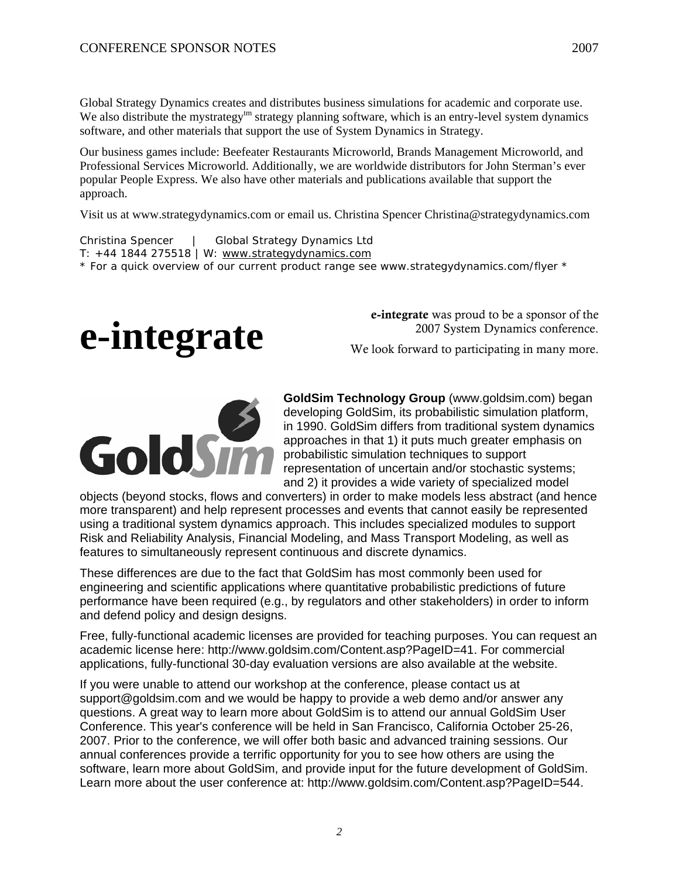Global Strategy Dynamics creates and distributes business simulations for academic and corporate use. We also distribute the mystrategy<sup>tm</sup> strategy planning software, which is an entry-level system dynamics software, and other materials that support the use of System Dynamics in Strategy.

Our business games include: Beefeater Restaurants Microworld, Brands Management Microworld, and Professional Services Microworld. Additionally, we are worldwide distributors for John Sterman's ever popular People Express. We also have other materials and publications available that support the approach.

Visit us at www.strategydynamics.com or email us. Christina Spencer Christina@strategydynamics.com

Christina Spencer | Global Strategy Dynamics Ltd T: +44 1844 275518 | W: www.strategydynamics.com \* For a quick overview of our current product range see www.strategydynamics.com/flyer \*



e-integrate was proud to be a sponsor of the 2007 System Dynamics conference.

We look forward to participating in many more.



**GoldSim Technology Group** (www.goldsim.com) began developing GoldSim, its probabilistic simulation platform, in 1990. GoldSim differs from traditional system dynamics approaches in that 1) it puts much greater emphasis on probabilistic simulation techniques to support representation of uncertain and/or stochastic systems; and 2) it provides a wide variety of specialized model

objects (beyond stocks, flows and converters) in order to make models less abstract (and hence more transparent) and help represent processes and events that cannot easily be represented using a traditional system dynamics approach. This includes specialized modules to support Risk and Reliability Analysis, Financial Modeling, and Mass Transport Modeling, as well as features to simultaneously represent continuous and discrete dynamics.

These differences are due to the fact that GoldSim has most commonly been used for engineering and scientific applications where quantitative probabilistic predictions of future performance have been required (e.g., by regulators and other stakeholders) in order to inform and defend policy and design designs.

Free, fully-functional academic licenses are provided for teaching purposes. You can request an academic license here: http://www.goldsim.com/Content.asp?PageID=41. For commercial applications, fully-functional 30-day evaluation versions are also available at the website.

If you were unable to attend our workshop at the conference, please contact us at support@goldsim.com and we would be happy to provide a web demo and/or answer any questions. A great way to learn more about GoldSim is to attend our annual GoldSim User Conference. This year's conference will be held in San Francisco, California October 25-26, 2007. Prior to the conference, we will offer both basic and advanced training sessions. Our annual conferences provide a terrific opportunity for you to see how others are using the software, learn more about GoldSim, and provide input for the future development of GoldSim. Learn more about the user conference at: http://www.goldsim.com/Content.asp?PageID=544.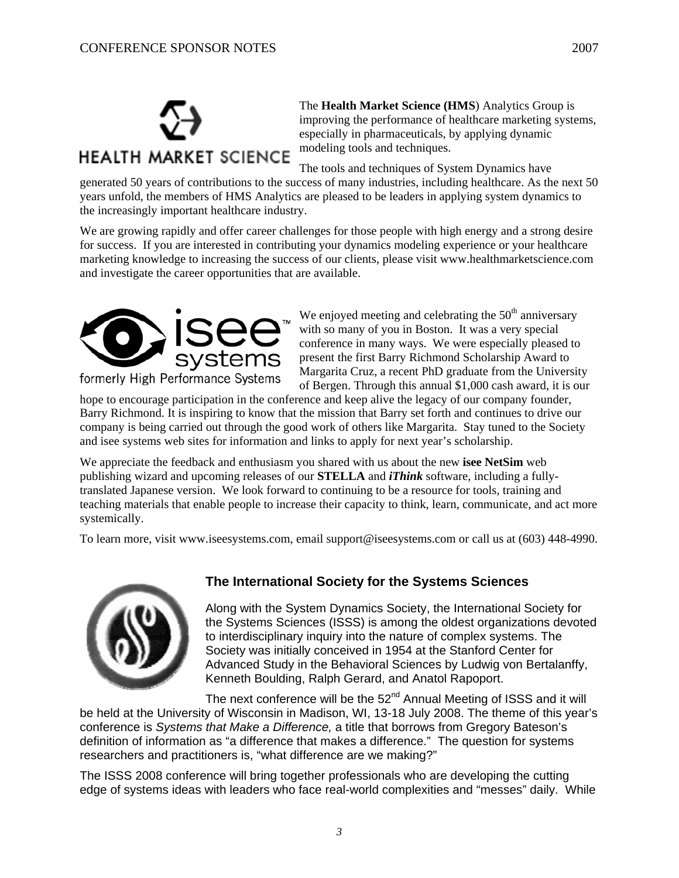

The **Health Market Science (HMS**) Analytics Group is improving the performance of healthcare marketing systems, especially in pharmaceuticals, by applying dynamic modeling tools and techniques.

The tools and techniques of System Dynamics have

generated 50 years of contributions to the success of many industries, including healthcare. As the next 50 years unfold, the members of HMS Analytics are pleased to be leaders in applying system dynamics to the increasingly important healthcare industry.

We are growing rapidly and offer career challenges for those people with high energy and a strong desire for success. If you are interested in contributing your dynamics modeling experience or your healthcare marketing knowledge to increasing the success of our clients, please visit www.healthmarketscience.com and investigate the career opportunities that are available.



We enjoyed meeting and celebrating the  $50<sup>th</sup>$  anniversary with so many of you in Boston. It was a very special conference in many ways. We were especially pleased to present the first Barry Richmond Scholarship Award to Margarita Cruz, a recent PhD graduate from the University of Bergen. Through this annual \$1,000 cash award, it is our

hope to encourage participation in the conference and keep alive the legacy of our company founder, Barry Richmond. It is inspiring to know that the mission that Barry set forth and continues to drive our company is being carried out through the good work of others like Margarita. Stay tuned to the Society and isee systems web sites for information and links to apply for next year's scholarship.

We appreciate the feedback and enthusiasm you shared with us about the new **isee NetSim** web publishing wizard and upcoming releases of our **STELLA** and *iThink* software, including a fullytranslated Japanese version. We look forward to continuing to be a resource for tools, training and teaching materials that enable people to increase their capacity to think, learn, communicate, and act more systemically.

To learn more, visit www.iseesystems.com, email support@iseesystems.com or call us at (603) 448-4990.



#### **The International Society for the Systems Sciences**

Along with the System Dynamics Society, the International Society for the Systems Sciences (ISSS) is among the oldest organizations devoted to interdisciplinary inquiry into the nature of complex systems. The Society was initially conceived in 1954 at the Stanford Center for Advanced Study in the Behavioral Sciences by Ludwig von Bertalanffy, Kenneth Boulding, Ralph Gerard, and Anatol Rapoport.

The next conference will be the  $52<sup>nd</sup>$  Annual Meeting of ISSS and it will be held at the University of Wisconsin in Madison, WI, 13-18 July 2008. The theme of this year's conference is *Systems that Make a Difference,* a title that borrows from Gregory Bateson's definition of information as "a difference that makes a difference." The question for systems researchers and practitioners is, "what difference are we making?"

The ISSS 2008 conference will bring together professionals who are developing the cutting edge of systems ideas with leaders who face real-world complexities and "messes" daily. While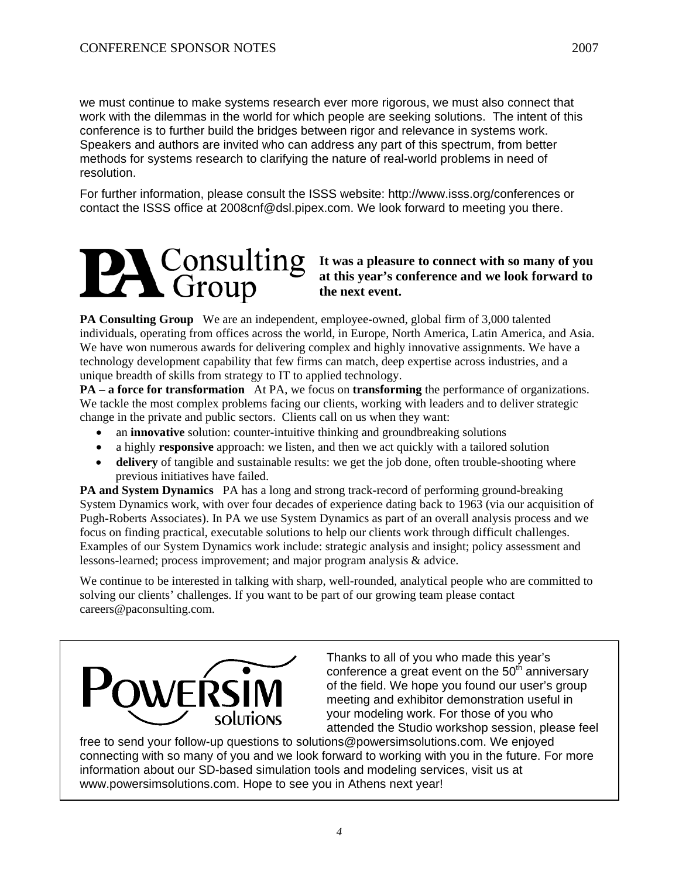we must continue to make systems research ever more rigorous, we must also connect that work with the dilemmas in the world for which people are seeking solutions. The intent of this conference is to further build the bridges between rigor and relevance in systems work. Speakers and authors are invited who can address any part of this spectrum, from better methods for systems research to clarifying the nature of real-world problems in need of resolution.

For further information, please consult the ISSS website: http://www.isss.org/conferences or contact the ISSS office at 2008cnf@dsl.pipex.com. We look forward to meeting you there.

#### **It was a pleasure to connect with so many of you at this year's conference and we look forward to the next event.**

**PA Consulting Group** We are an independent, employee-owned, global firm of 3,000 talented individuals, operating from offices across the world, in Europe, North America, Latin America, and Asia. We have won numerous awards for delivering complex and highly innovative assignments. We have a technology development capability that few firms can match, deep expertise across industries, and a unique breadth of skills from strategy to IT to applied technology.

**PA – a force for transformation** At PA, we focus on **transforming** the performance of organizations. We tackle the most complex problems facing our clients, working with leaders and to deliver strategic change in the private and public sectors. Clients call on us when they want:

- an **innovative** solution: counter-intuitive thinking and groundbreaking solutions
- a highly **responsive** approach: we listen, and then we act quickly with a tailored solution
- **delivery** of tangible and sustainable results: we get the job done, often trouble-shooting where previous initiatives have failed.

**PA and System Dynamics** PA has a long and strong track-record of performing ground-breaking System Dynamics work, with over four decades of experience dating back to 1963 (via our acquisition of Pugh-Roberts Associates). In PA we use System Dynamics as part of an overall analysis process and we focus on finding practical, executable solutions to help our clients work through difficult challenges. Examples of our System Dynamics work include: strategic analysis and insight; policy assessment and lessons-learned; process improvement; and major program analysis & advice.

We continue to be interested in talking with sharp, well-rounded, analytical people who are committed to solving our clients' challenges. If you want to be part of our growing team please contact careers@paconsulting.com.



Thanks to all of you who made this year's conference a great event on the  $50<sup>th</sup>$  anniversary of the field. We hope you found our user's group meeting and exhibitor demonstration useful in your modeling work. For those of you who attended the Studio workshop session, please feel

free to send your follow-up questions to solutions@powersimsolutions.com. We enjoyed connecting with so many of you and we look forward to working with you in the future. For more information about our SD-based simulation tools and modeling services, visit us at www.powersimsolutions.com. Hope to see you in Athens next year!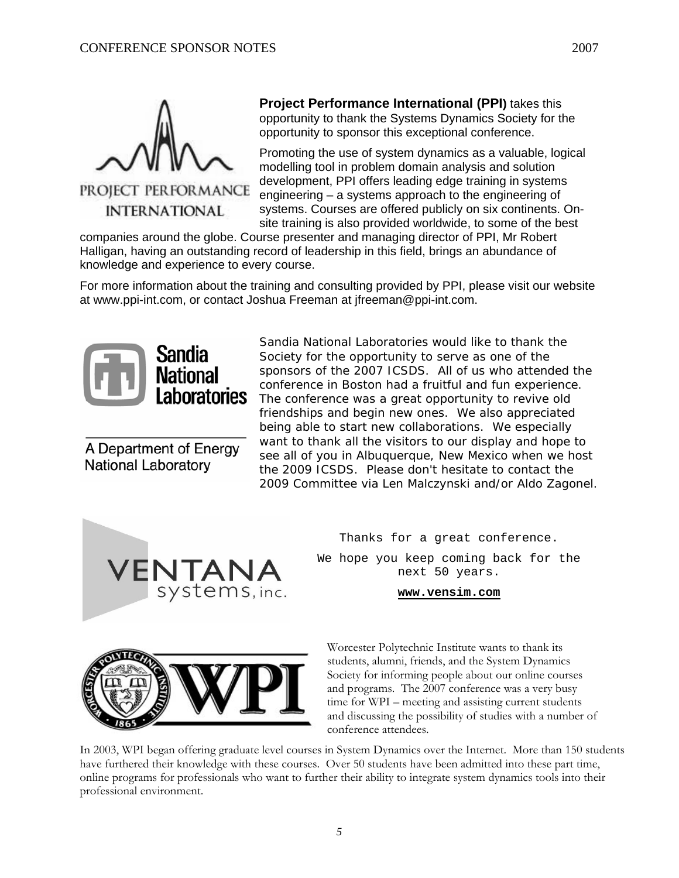

**INTERNATIONAL** 

#### **Project Performance International (PPI)** takes this opportunity to thank the Systems Dynamics Society for the opportunity to sponsor this exceptional conference.

Promoting the use of system dynamics as a valuable, logical modelling tool in problem domain analysis and solution development, PPI offers leading edge training in systems engineering – a systems approach to the engineering of systems. Courses are offered publicly on six continents. Onsite training is also provided worldwide, to some of the best

companies around the globe. Course presenter and managing director of PPI, Mr Robert Halligan, having an outstanding record of leadership in this field, brings an abundance of knowledge and experience to every course.

For more information about the training and consulting provided by PPI, please visit our website at www.ppi-int.com, or contact Joshua Freeman at jfreeman@ppi-int.com.



A Department of Energy **National Laboratory** 

Sandia National Laboratories would like to thank the Society for the opportunity to serve as one of the sponsors of the 2007 ICSDS. All of us who attended the conference in Boston had a fruitful and fun experience. The conference was a great opportunity to revive old friendships and begin new ones. We also appreciated being able to start new collaborations. We especially want to thank all the visitors to our display and hope to see all of you in Albuquerque, New Mexico when we host the 2009 ICSDS. Please don't hesitate to contact the 2009 Committee via Len Malczynski and/or Aldo Zagonel.



Thanks for a great conference.

We hope you keep coming back for the next 50 years.

**www.vensim.com**



Worcester Polytechnic Institute wants to thank its students, alumni, friends, and the System Dynamics Society for informing people about our online courses and programs. The 2007 conference was a very busy time for WPI – meeting and assisting current students and discussing the possibility of studies with a number of conference attendees.

In 2003, WPI began offering graduate level courses in System Dynamics over the Internet. More than 150 students have furthered their knowledge with these courses. Over 50 students have been admitted into these part time, online programs for professionals who want to further their ability to integrate system dynamics tools into their professional environment.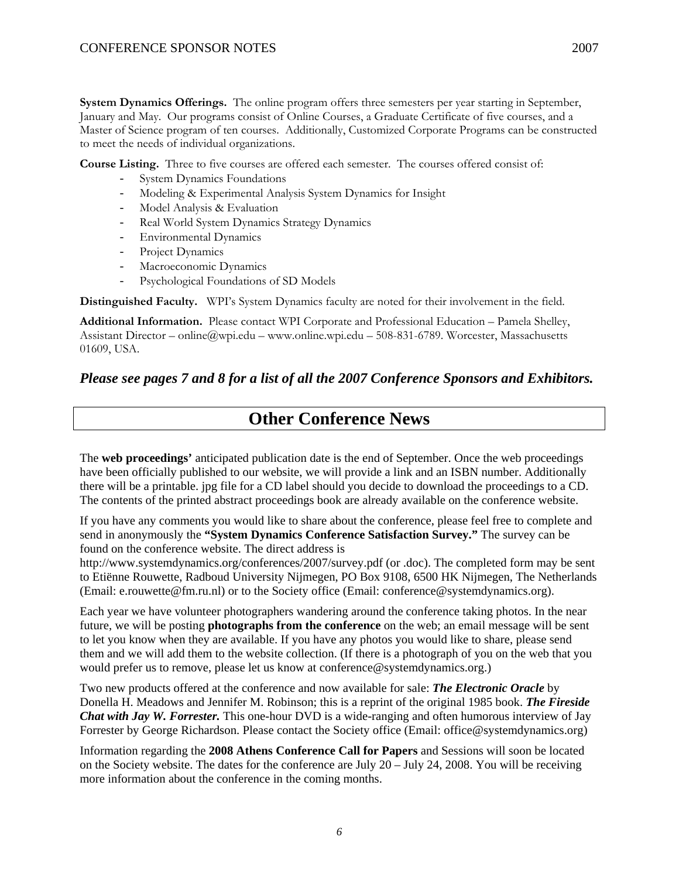**System Dynamics Offerings.** The online program offers three semesters per year starting in September, January and May. Our programs consist of Online Courses, a Graduate Certificate of five courses, and a Master of Science program of ten courses. Additionally, Customized Corporate Programs can be constructed to meet the needs of individual organizations.

**Course Listing.** Three to five courses are offered each semester. The courses offered consist of:

- System Dynamics Foundations
- Modeling & Experimental Analysis System Dynamics for Insight
- Model Analysis & Evaluation
- Real World System Dynamics Strategy Dynamics
- Environmental Dynamics
- Project Dynamics
- Macroeconomic Dynamics
- Psychological Foundations of SD Models

**Distinguished Faculty.** WPI's System Dynamics faculty are noted for their involvement in the field.

**Additional Information.** Please contact WPI Corporate and Professional Education – Pamela Shelley, Assistant Director – online@wpi.edu – www.online.wpi.edu – 508-831-6789. Worcester, Massachusetts 01609, USA.

*Please see pages 7 and 8 for a list of all the 2007 Conference Sponsors and Exhibitors.* 

# **Other Conference News**

The **web proceedings'** anticipated publication date is the end of September. Once the web proceedings have been officially published to our website, we will provide a link and an ISBN number. Additionally there will be a printable. jpg file for a CD label should you decide to download the proceedings to a CD. The contents of the printed abstract proceedings book are already available on the conference website.

If you have any comments you would like to share about the conference, please feel free to complete and send in anonymously the **"System Dynamics Conference Satisfaction Survey."** The survey can be found on the conference website. The direct address is

http://www.systemdynamics.org/conferences/2007/survey.pdf (or .doc). The completed form may be sent to Etiënne Rouwette, Radboud University Nijmegen, PO Box 9108, 6500 HK Nijmegen, The Netherlands (Email: e.rouwette@fm.ru.nl) or to the Society office (Email: conference@systemdynamics.org).

Each year we have volunteer photographers wandering around the conference taking photos. In the near future, we will be posting **photographs from the conference** on the web; an email message will be sent to let you know when they are available. If you have any photos you would like to share, please send them and we will add them to the website collection. (If there is a photograph of you on the web that you would prefer us to remove, please let us know at conference@systemdynamics.org.)

Two new products offered at the conference and now available for sale: *The Electronic Oracle* by Donella H. Meadows and Jennifer M. Robinson; this is a reprint of the original 1985 book. *The Fireside Chat with Jay W. Forrester.* This one-hour DVD is a wide-ranging and often humorous interview of Jay Forrester by George Richardson. Please contact the Society office (Email: office@systemdynamics.org)

Information regarding the **2008 Athens Conference Call for Papers** and Sessions will soon be located on the Society website. The dates for the conference are July 20 – July 24, 2008. You will be receiving more information about the conference in the coming months.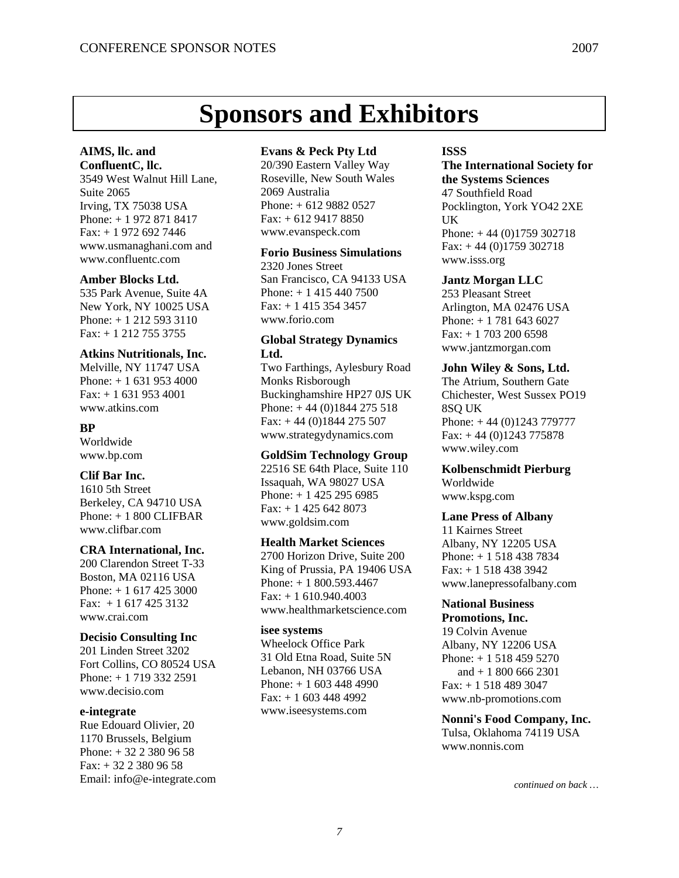# **Sponsors and Exhibitors**

#### **AIMS, llc. and ConfluentC, llc.**

3549 West Walnut Hill Lane, Suite 2065 Irving, TX 75038 USA Phone: + 1 972 871 8417 Fax: + 1 972 692 7446 www.usmanaghani.com and www.confluentc.com

#### **Amber Blocks Ltd.**

535 Park Avenue, Suite 4A New York, NY 10025 USA Phone: + 1 212 593 3110 Fax: + 1 212 755 3755

#### **Atkins Nutritionals, Inc.**

Melville, NY 11747 USA Phone: + 1 631 953 4000 Fax: + 1 631 953 4001 www.atkins.com

#### **BP**

Worldwide www.bp.com

#### **Clif Bar Inc.**

1610 5th Street Berkeley, CA 94710 USA  $Phone: + 1800$  CLIFBAR www.clifbar.com

#### **CRA International, Inc.**

200 Clarendon Street T-33 Boston, MA 02116 USA Phone: + 1 617 425 3000 Fax: + 1 617 425 3132 www.crai.com

#### **Decisio Consulting Inc**

201 Linden Street 3202 Fort Collins, CO 80524 USA Phone: + 1 719 332 2591 www.decisio.com

#### **e-integrate**

Rue Edouard Olivier, 20 1170 Brussels, Belgium Phone: + 32 2 380 96 58 Fax: + 32 2 380 96 58 Email: info@e-integrate.com

#### **Evans & Peck Pty Ltd**

20/390 Eastern Valley Way Roseville, New South Wales 2069 Australia Phone: + 612 9882 0527 Fax: + 612 9417 8850 www.evanspeck.com

#### **Forio Business Simulations**

2320 Jones Street San Francisco, CA 94133 USA Phone: + 1 415 440 7500 Fax: + 1 415 354 3457 www.forio.com

#### **Global Strategy Dynamics Ltd.**

Two Farthings, Aylesbury Road Monks Risborough Buckinghamshire HP27 0JS UK Phone:  $+ 44 (0)1844 275 518$ Fax: + 44 (0)1844 275 507 www.strategydynamics.com

#### **GoldSim Technology Group**

22516 SE 64th Place, Suite 110 Issaquah, WA 98027 USA Phone: + 1 425 295 6985 Fax: + 1 425 642 8073 www.goldsim.com

#### **Health Market Sciences**

2700 Horizon Drive, Suite 200 King of Prussia, PA 19406 USA Phone: + 1 800.593.4467 Fax: + 1 610.940.4003 www.healthmarketscience.com

#### **isee systems**

Wheelock Office Park 31 Old Etna Road, Suite 5N Lebanon, NH 03766 USA Phone: + 1 603 448 4990 Fax: + 1 603 448 4992 www.iseesystems.com

#### **ISSS**

**The International Society for the Systems Sciences**  47 Southfield Road Pocklington, York YO42 2XE UK Phone: + 44 (0)1759 302718  $Fax: + 44 (0)1759 302718$ www.isss.org

#### **Jantz Morgan LLC**

253 Pleasant Street Arlington, MA 02476 USA Phone: + 1 781 643 6027 Fax: + 1 703 200 6598 www.jantzmorgan.com

#### **John Wiley & Sons, Ltd.**

The Atrium, Southern Gate Chichester, West Sussex PO19 8SQ UK Phone: + 44 (0)1243 779777  $Fax: + 44 (0)1243 775878$ www.wiley.com

#### **Kolbenschmidt Pierburg**  Worldwide

www.kspg.com

#### **Lane Press of Albany**

11 Kairnes Street Albany, NY 12205 USA Phone: + 1 518 438 7834 Fax: + 1 518 438 3942 www.lanepressofalbany.com

### **National Business**

**Promotions, Inc.**  19 Colvin Avenue Albany, NY 12206 USA Phone: + 1 518 459 5270 and + 1 800 666 2301 Fax: + 1 518 489 3047 www.nb-promotions.com

**Nonni's Food Company, Inc.**  Tulsa, Oklahoma 74119 USA www.nonnis.com

#### *7*